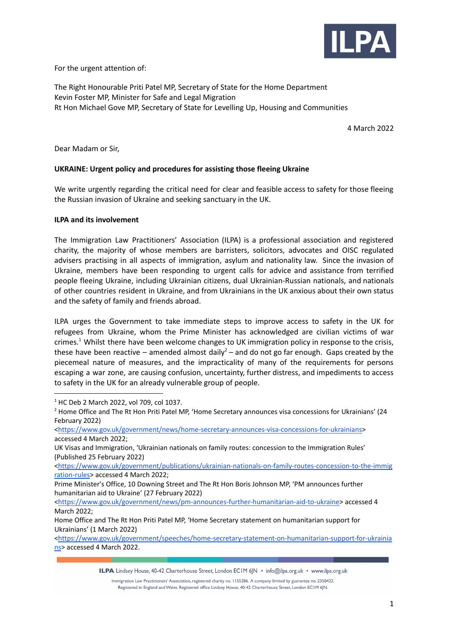

For the urgent attention of:

The Right Honourable Priti Patel MP, Secretary of State for the Home Department Kevin Foster MP, Minister for Safe and Legal Migration Rt Hon Michael Gove MP, Secretary of State for Levelling Up, Housing and Communities

4 March 2022

Dear Madam or Sir,

## **UKRAINE: Urgent policy and procedures for assisting those fleeing Ukraine**

We write urgently regarding the critical need for clear and feasible access to safety for those fleeing the Russian invasion of Ukraine and seeking sanctuary in the UK.

#### **ILPA and its involvement**

The Immigration Law Practitioners' Association (ILPA) is a professional association and registered charity, the majority of whose members are barristers, solicitors, advocates and OISC regulated advisers practising in all aspects of immigration, asylum and nationality law. Since the invasion of Ukraine, members have been responding to urgent calls for advice and assistance from terrified people fleeing Ukraine, including Ukrainian citizens, dual Ukrainian-Russian nationals, and nationals of other countries resident in Ukraine, and from Ukrainians in the UK anxious about their own status and the safety of family and friends abroad.

ILPA urges the Government to take immediate steps to improve access to safety in the UK for refugees from Ukraine, whom the Prime Minister has acknowledged are civilian victims of war crimes.<sup>1</sup> Whilst there have been welcome changes to UK immigration policy in response to the crisis, these have been reactive – amended almost daily<sup>2</sup> – and do not go far enough. Gaps created by the piecemeal nature of measures, and the impracticality of many of the requirements for persons escaping a war zone, are causing confusion, uncertainty, further distress, and impediments to access to safety in the UK for an already vulnerable group of people.

<[https://www.gov.uk/government/publications/ukrainian-nationals-on-family-routes-concession-to-the-immig](https://www.gov.uk/government/publications/ukrainian-nationals-on-family-routes-concession-to-the-immigration-rules) [ration-rules](https://www.gov.uk/government/publications/ukrainian-nationals-on-family-routes-concession-to-the-immigration-rules)> accessed 4 March 2022;

<sup>1</sup> HC Deb 2 March 2022, vol 709, col 1037.

<sup>&</sup>lt;sup>2</sup> Home Office and The Rt Hon Priti Patel MP, 'Home Secretary announces visa concessions for Ukrainians' (24 February 2022)

<sup>&</sup>lt;[https://www.gov.uk/government/news/home-secretary-announces-visa-concessions-for-ukrainians>](https://www.gov.uk/government/news/home-secretary-announces-visa-concessions-for-ukrainians) accessed 4 March 2022;

UK Visas and Immigration, 'Ukrainian nationals on family routes: concession to the Immigration Rules' (Published 25 February 2022)

Prime Minister's Office, 10 Downing Street and The Rt Hon Boris Johnson MP, 'PM announces further humanitarian aid to Ukraine' (27 February 2022)

<sup>&</sup>lt;[https://www.gov.uk/government/news/pm-announces-further-humanitarian-aid-to-ukraine>](https://www.gov.uk/government/news/pm-announces-further-humanitarian-aid-to-ukraine) accessed 4 March 2022;

Home Office and The Rt Hon Priti Patel MP, 'Home Secretary statement on humanitarian support for Ukrainians' (1 March 2022)

<sup>&</sup>lt;[https://www.gov.uk/government/speeches/home-secretary-statement-on-humanitarian-support-for-ukrainia](https://www.gov.uk/government/speeches/home-secretary-statement-on-humanitarian-support-for-ukrainians) [ns](https://www.gov.uk/government/speeches/home-secretary-statement-on-humanitarian-support-for-ukrainians)> accessed 4 March 2022.

ILPA Lindsey House, 40-42 Charterhouse Street, London ECIM 6JN · info@ilpa.org.uk · www.ilpa.org.uk

Immigration Law Practitioners' Association, registered charity no. 1155286. A company limited by guarantee no. 2350422. Registered in England and Wales. Registered office Lindsey House, 40-42 Charterhouse Street, London EC1M 6JN.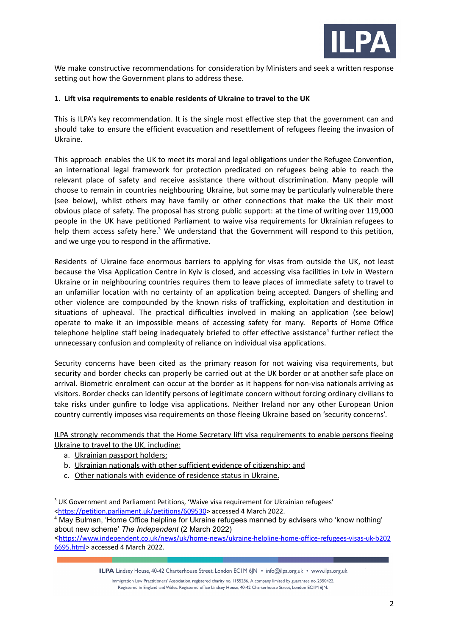

We make constructive recommendations for consideration by Ministers and seek a written response setting out how the Government plans to address these.

### **1. Lift visa requirements to enable residents of Ukraine to travel to the UK**

This is ILPA's key recommendation. It is the single most effective step that the government can and should take to ensure the efficient evacuation and resettlement of refugees fleeing the invasion of Ukraine.

This approach enables the UK to meet its moral and legal obligations under the Refugee Convention, an international legal framework for protection predicated on refugees being able to reach the relevant place of safety and receive assistance there without discrimination. Many people will choose to remain in countries neighbouring Ukraine, but some may be particularly vulnerable there (see below), whilst others may have family or other connections that make the UK their most obvious place of safety. The proposal has strong public support: at the time of writing over 119,000 people in the UK have petitioned Parliament to waive visa requirements for Ukrainian refugees to help them access safety here.<sup>3</sup> We understand that the Government will respond to this petition, and we urge you to respond in the affirmative.

Residents of Ukraine face enormous barriers to applying for visas from outside the UK, not least because the Visa Application Centre in Kyiv is closed, and accessing visa facilities in Lviv in Western Ukraine or in neighbouring countries requires them to leave places of immediate safety to travel to an unfamiliar location with no certainty of an application being accepted. Dangers of shelling and other violence are compounded by the known risks of trafficking, exploitation and destitution in situations of upheaval. The practical difficulties involved in making an application (see below) operate to make it an impossible means of accessing safety for many. Reports of Home Office telephone helpline staff being inadequately briefed to offer effective assistance<sup>4</sup> further reflect the unnecessary confusion and complexity of reliance on individual visa applications.

Security concerns have been cited as the primary reason for not waiving visa requirements, but security and border checks can properly be carried out at the UK border or at another safe place on arrival. Biometric enrolment can occur at the border as it happens for non-visa nationals arriving as visitors. Border checks can identify persons of legitimate concern without forcing ordinary civilians to take risks under gunfire to lodge visa applications. Neither Ireland nor any other European Union country currently imposes visa requirements on those fleeing Ukraine based on 'security concerns'.

ILPA strongly recommends that the Home Secretary lift visa requirements to enable persons fleeing Ukraine to travel to the UK, including:

- a. Ukrainian passport holders;
- b. Ukrainian nationals with other sufficient evidence of citizenship; and
- c. Other nationals with evidence of residence status in Ukraine.

ILPA Lindsey House, 40-42 Charterhouse Street, London ECIM 6JN · info@ilpa.org.uk · www.ilpa.org.uk

<sup>&</sup>lt;sup>3</sup> UK Government and Parliament Petitions, 'Waive visa requirement for Ukrainian refugees' <<https://petition.parliament.uk/petitions/609530>> accessed 4 March 2022.

<sup>&</sup>lt;sup>4</sup> May Bulman, 'Home Office helpline for Ukraine refugees manned by advisers who 'know nothing' about new scheme' *The Independent* (2 March 2022)

<sup>&</sup>lt;[https://www.independent.co.uk/news/uk/home-news/ukraine-helpline-home-office-refugees-visas-uk-b202](https://www.independent.co.uk/news/uk/home-news/ukraine-helpline-home-office-refugees-visas-uk-b2026695.html) [6695.html>](https://www.independent.co.uk/news/uk/home-news/ukraine-helpline-home-office-refugees-visas-uk-b2026695.html) accessed 4 March 2022.

Immigration Law Practitioners' Association, registered charity no. 1155286. A company limited by guarantee no. 2350422. Registered in England and Wales. Registered office Lindsey House, 40-42 Charterhouse Street, London EC1M 6JN.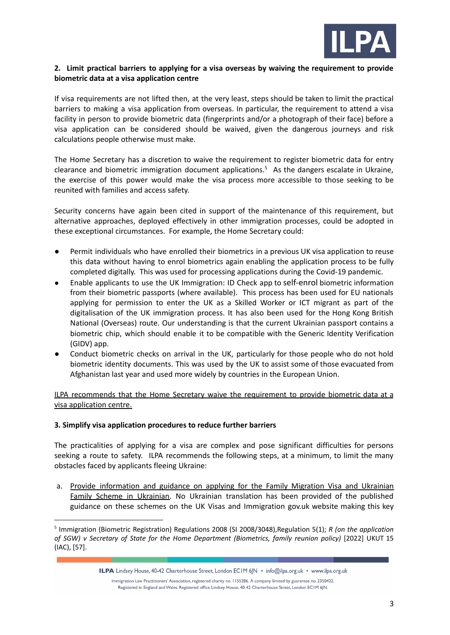

### **2. Limit practical barriers to applying for a visa overseas by waiving the requirement to provide biometric data at a visa application centre**

If visa requirements are not lifted then, at the very least, steps should be taken to limit the practical barriers to making a visa application from overseas. In particular, the requirement to attend a visa facility in person to provide biometric data (fingerprints and/or a photograph of their face) before a visa application can be considered should be waived, given the dangerous journeys and risk calculations people otherwise must make.

The Home Secretary has a discretion to waive the requirement to register biometric data for entry clearance and biometric immigration document applications.<sup>5</sup> As the dangers escalate in Ukraine, the exercise of this power would make the visa process more accessible to those seeking to be reunited with families and access safety.

Security concerns have again been cited in support of the maintenance of this requirement, but alternative approaches, deployed effectively in other immigration processes, could be adopted in these exceptional circumstances. For example, the Home Secretary could:

- Permit individuals who have enrolled their biometrics in a previous UK visa application to reuse this data without having to enrol biometrics again enabling the application process to be fully completed digitally. This was used for processing applications during the Covid-19 pandemic.
- Enable applicants to use the UK Immigration: ID Check app to self-enrol biometric information from their biometric passports (where available). This process has been used for EU nationals applying for permission to enter the UK as a Skilled Worker or ICT migrant as part of the digitalisation of the UK immigration process. It has also been used for the Hong Kong British National (Overseas) route. Our understanding is that the current Ukrainian passport contains a biometric chip, which should enable it to be compatible with the Generic Identity Verification (GIDV) app.
- Conduct biometric checks on arrival in the UK, particularly for those people who do not hold biometric identity documents. This was used by the UK to assist some of those evacuated from Afghanistan last year and used more widely by countries in the European Union.

ILPA recommends that the Home Secretary waive the requirement to provide biometric data at a visa application centre.

#### **3. Simplify visa application procedures to reduce further barriers**

The practicalities of applying for a visa are complex and pose significant difficulties for persons seeking a route to safety. ILPA recommends the following steps, at a minimum, to limit the many obstacles faced by applicants fleeing Ukraine:

a. Provide information and guidance on applying for the Family Migration Visa and Ukrainian Family Scheme in Ukrainian. No Ukrainian translation has been provided of the published guidance on these schemes on the UK Visas and Immigration gov.uk website making this key

<sup>5</sup> Immigration (Biometric Registration) Regulations 2008 (SI 2008/3048),Regulation 5(1); *R (on the application of SGW) v Secretary of State for the Home Department (Biometrics, family reunion policy)* [2022] UKUT 15 (IAC), [57].

ILPA Lindsey House, 40-42 Charterhouse Street, London ECIM 6JN · info@ilpa.org.uk · www.ilpa.org.uk

Immigration Law Practitioners' Association, registered charity no. 1155286. A company limited by guarantee no. 2350422. Registered in England and Wales. Registered office Lindsey House, 40-42 Charterhouse Street, London EC1M 6JN.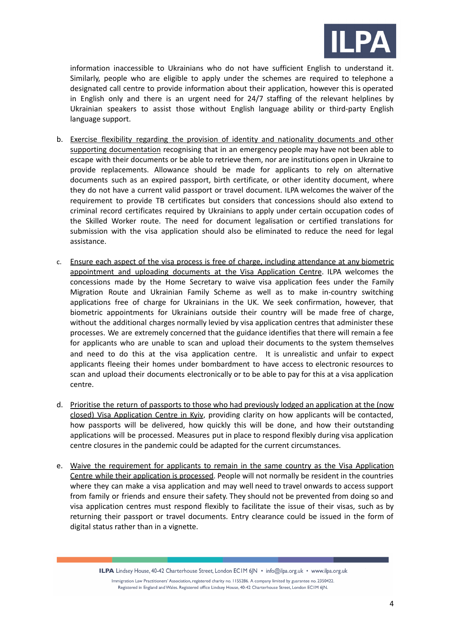

information inaccessible to Ukrainians who do not have sufficient English to understand it. Similarly, people who are eligible to apply under the schemes are required to telephone a designated call centre to provide information about their application, however this is operated in English only and there is an urgent need for 24/7 staffing of the relevant helplines by Ukrainian speakers to assist those without English language ability or third-party English language support.

- b. Exercise flexibility regarding the provision of identity and nationality documents and other supporting documentation recognising that in an emergency people may have not been able to escape with their documents or be able to retrieve them, nor are institutions open in Ukraine to provide replacements. Allowance should be made for applicants to rely on alternative documents such as an expired passport, birth certificate, or other identity document, where they do not have a current valid passport or travel document. ILPA welcomes the waiver of the requirement to provide TB certificates but considers that concessions should also extend to criminal record certificates required by Ukrainians to apply under certain occupation codes of the Skilled Worker route. The need for document legalisation or certified translations for submission with the visa application should also be eliminated to reduce the need for legal assistance.
- c. Ensure each aspect of the visa process is free of charge, including attendance at any biometric appointment and uploading documents at the Visa Application Centre. ILPA welcomes the concessions made by the Home Secretary to waive visa application fees under the Family Migration Route and Ukrainian Family Scheme as well as to make in-country switching applications free of charge for Ukrainians in the UK. We seek confirmation, however, that biometric appointments for Ukrainians outside their country will be made free of charge, without the additional charges normally levied by visa application centres that administer these processes. We are extremely concerned that the guidance identifies that there will remain a fee for applicants who are unable to scan and upload their documents to the system themselves and need to do this at the visa application centre. It is unrealistic and unfair to expect applicants fleeing their homes under bombardment to have access to electronic resources to scan and upload their documents electronically or to be able to pay for this at a visa application centre.
- d. Prioritise the return of passports to those who had previously lodged an application at the (now closed) Visa Application Centre in Kyiv, providing clarity on how applicants will be contacted, how passports will be delivered, how quickly this will be done, and how their outstanding applications will be processed. Measures put in place to respond flexibly during visa application centre closures in the pandemic could be adapted for the current circumstances.
- e. Waive the requirement for applicants to remain in the same country as the Visa Application Centre while their application is processed. People will not normally be resident in the countries where they can make a visa application and may well need to travel onwards to access support from family or friends and ensure their safety. They should not be prevented from doing so and visa application centres must respond flexibly to facilitate the issue of their visas, such as by returning their passport or travel documents. Entry clearance could be issued in the form of digital status rather than in a vignette.

ILPA Lindsey House, 40-42 Charterhouse Street, London ECIM 6JN • info@ilpa.org.uk • www.ilpa.org.uk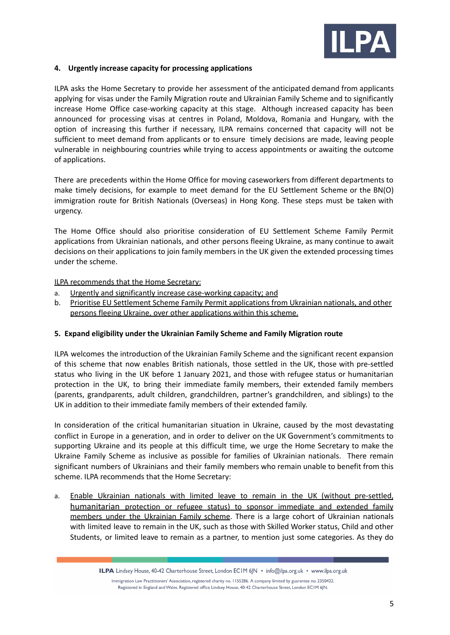

### **4. Urgently increase capacity for processing applications**

ILPA asks the Home Secretary to provide her assessment of the anticipated demand from applicants applying for visas under the Family Migration route and Ukrainian Family Scheme and to significantly increase Home Office case-working capacity at this stage. Although increased capacity has been announced for processing visas at centres in Poland, Moldova, Romania and Hungary, with the option of increasing this further if necessary, ILPA remains concerned that capacity will not be sufficient to meet demand from applicants or to ensure timely decisions are made, leaving people vulnerable in neighbouring countries while trying to access appointments or awaiting the outcome of applications.

There are precedents within the Home Office for moving caseworkers from different departments to make timely decisions, for example to meet demand for the EU Settlement Scheme or the BN(O) immigration route for British Nationals (Overseas) in Hong Kong. These steps must be taken with urgency.

The Home Office should also prioritise consideration of EU Settlement Scheme Family Permit applications from Ukrainian nationals, and other persons fleeing Ukraine, as many continue to await decisions on their applications to join family members in the UK given the extended processing times under the scheme.

## ILPA recommends that the Home Secretary:

- a. Urgently and significantly increase case-working capacity; and
- b. Prioritise EU Settlement Scheme Family Permit applications from Ukrainian nationals, and other persons fleeing Ukraine, over other applications within this scheme.

#### **5. Expand eligibility under the Ukrainian Family Scheme and Family Migration route**

ILPA welcomes the introduction of the Ukrainian Family Scheme and the significant recent expansion of this scheme that now enables British nationals, those settled in the UK, those with pre-settled status who living in the UK before 1 January 2021, and those with refugee status or humanitarian protection in the UK, to bring their immediate family members, their extended family members (parents, grandparents, adult children, grandchildren, partner's grandchildren, and siblings) to the UK in addition to their immediate family members of their extended family.

In consideration of the critical humanitarian situation in Ukraine, caused by the most devastating conflict in Europe in a generation, and in order to deliver on the UK Government's commitments to supporting Ukraine and its people at this difficult time, we urge the Home Secretary to make the Ukraine Family Scheme as inclusive as possible for families of Ukrainian nationals. There remain significant numbers of Ukrainians and their family members who remain unable to benefit from this scheme. ILPA recommends that the Home Secretary:

a. Enable Ukrainian nationals with limited leave to remain in the UK (without pre-settled, humanitarian protection or refugee status) to sponsor immediate and extended family members under the Ukrainian Family scheme. There is a large cohort of Ukrainian nationals with limited leave to remain in the UK, such as those with Skilled Worker status, Child and other Students, or limited leave to remain as a partner, to mention just some categories. As they do

ILPA Lindsey House, 40-42 Charterhouse Street, London ECIM 6JN · info@ilpa.org.uk · www.ilpa.org.uk

Immigration Law Practitioners' Association, registered charity no. 1155286. A company limited by guarantee no. 2350422. Registered in England and Wales. Registered office Lindsey House, 40-42 Charterhouse Street, London EC1M 6JN.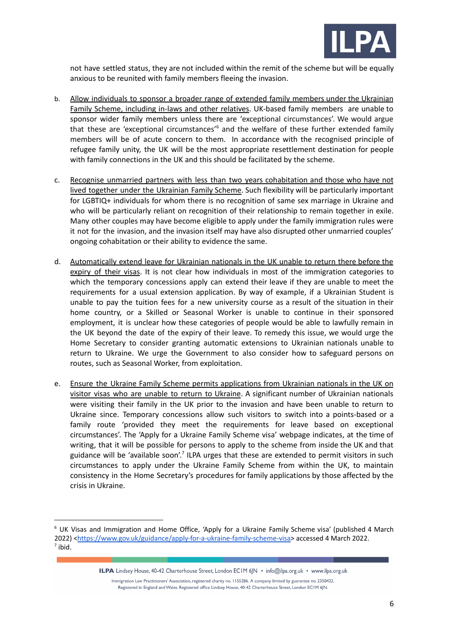

not have settled status, they are not included within the remit of the scheme but will be equally anxious to be reunited with family members fleeing the invasion.

- b. Allow individuals to sponsor a broader range of extended family members under the Ukrainian Family Scheme, including in-laws and other relatives. UK-based family members are unable to sponsor wider family members unless there are 'exceptional circumstances'. We would argue that these are 'exceptional circumstances'<sup>6</sup> and the welfare of these further extended family members will be of acute concern to them. In accordance with the recognised principle of refugee family unity, the UK will be the most appropriate resettlement destination for people with family connections in the UK and this should be facilitated by the scheme.
- c. Recognise unmarried partners with less than two years cohabitation and those who have not lived together under the Ukrainian Family Scheme. Such flexibility will be particularly important for LGBTIQ+ individuals for whom there is no recognition of same sex marriage in Ukraine and who will be particularly reliant on recognition of their relationship to remain together in exile. Many other couples may have become eligible to apply under the family immigration rules were it not for the invasion, and the invasion itself may have also disrupted other unmarried couples' ongoing cohabitation or their ability to evidence the same.
- d. Automatically extend leave for Ukrainian nationals in the UK unable to return there before the expiry of their visas. It is not clear how individuals in most of the immigration categories to which the temporary concessions apply can extend their leave if they are unable to meet the requirements for a usual extension application. By way of example, if a Ukrainian Student is unable to pay the tuition fees for a new university course as a result of the situation in their home country, or a Skilled or Seasonal Worker is unable to continue in their sponsored employment, it is unclear how these categories of people would be able to lawfully remain in the UK beyond the date of the expiry of their leave. To remedy this issue, we would urge the Home Secretary to consider granting automatic extensions to Ukrainian nationals unable to return to Ukraine. We urge the Government to also consider how to safeguard persons on routes, such as Seasonal Worker, from exploitation.
- e. Ensure the Ukraine Family Scheme permits applications from Ukrainian nationals in the UK on visitor visas who are unable to return to Ukraine. A significant number of Ukrainian nationals were visiting their family in the UK prior to the invasion and have been unable to return to Ukraine since. Temporary concessions allow such visitors to switch into a points-based or a family route 'provided they meet the requirements for leave based on exceptional circumstances'. The 'Apply for a Ukraine Family Scheme visa' webpage indicates, at the time of writing, that it will be possible for persons to apply to the scheme from inside the UK and that guidance will be 'available soon'.<sup>7</sup> ILPA urges that these are extended to permit visitors in such circumstances to apply under the Ukraine Family Scheme from within the UK, to maintain consistency in the Home Secretary's procedures for family applications by those affected by the crisis in Ukraine.

ILPA Lindsey House, 40-42 Charterhouse Street, London ECIM 6JN · info@ilpa.org.uk · www.ilpa.org.uk

 $<sup>7</sup>$  ibid.</sup>  $6$  UK Visas and Immigration and Home Office, 'Apply for a Ukraine Family Scheme visa' (published 4 March 2022) <<https://www.gov.uk/guidance/apply-for-a-ukraine-family-scheme-visa>> accessed 4 March 2022.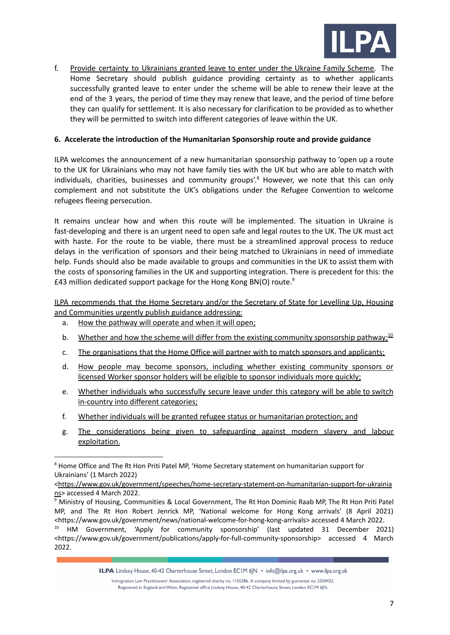

f. Provide certainty to Ukrainians granted leave to enter under the Ukraine Family Scheme. The Home Secretary should publish guidance providing certainty as to whether applicants successfully granted leave to enter under the scheme will be able to renew their leave at the end of the 3 years, the period of time they may renew that leave, and the period of time before they can qualify for settlement. It is also necessary for clarification to be provided as to whether they will be permitted to switch into different categories of leave within the UK.

### **6. Accelerate the introduction of the Humanitarian Sponsorship route and provide guidance**

ILPA welcomes the announcement of a new humanitarian sponsorship pathway to 'open up a route to the UK for Ukrainians who may not have family ties with the UK but who are able to match with individuals, charities, businesses and community groups'.<sup>8</sup> However, we note that this can only complement and not substitute the UK's obligations under the Refugee Convention to welcome refugees fleeing persecution.

It remains unclear how and when this route will be implemented. The situation in Ukraine is fast-developing and there is an urgent need to open safe and legal routes to the UK. The UK must act with haste. For the route to be viable, there must be a streamlined approval process to reduce delays in the verification of sponsors and their being matched to Ukrainians in need of immediate help. Funds should also be made available to groups and communities in the UK to assist them with the costs of sponsoring families in the UK and supporting integration. There is precedent for this: the £43 million dedicated support package for the Hong Kong BN(O) route.<sup>9</sup>

ILPA recommends that the Home Secretary and/or the Secretary of State for Levelling Up, Housing and Communities urgently publish guidance addressing:

- a. How the pathway will operate and when it will open;
- b. Whether and how the scheme will differ from the existing community [sponsorship](https://www.gov.uk/government/publications/apply-for-full-community-sponsorship) pathway;<sup>10</sup>
- c. The organisations that the Home Office will partner with to match sponsors and applicants;
- d. How people may become sponsors, including whether existing community sponsors or licensed Worker sponsor holders will be eligible to sponsor individuals more quickly;
- e. Whether individuals who successfully secure leave under this category will be able to switch in-country into different categories;
- f. Whether individuals will be granted refugee status or humanitarian protection; and
- g. The considerations being given to safeguarding against modern slavery and labour exploitation.

ILPA Lindsey House, 40-42 Charterhouse Street, London ECIM 6JN • info@ilpa.org.uk • www.ilpa.org.uk

<sup>&</sup>lt;sup>8</sup> Home Office and The Rt Hon Priti Patel MP, 'Home Secretary statement on humanitarian support for Ukrainians' (1 March 2022)

<sup>&</sup>lt;[https://www.gov.uk/government/speeches/home-secretary-statement-on-humanitarian-support-for-ukrainia](https://www.gov.uk/government/speeches/home-secretary-statement-on-humanitarian-support-for-ukrainians) [ns](https://www.gov.uk/government/speeches/home-secretary-statement-on-humanitarian-support-for-ukrainians)> accessed 4 March 2022.

<sup>9</sup> Ministry of Housing, Communities & Local Government, The Rt Hon Dominic Raab MP, The Rt Hon Priti Patel MP, and The Rt Hon Robert Jenrick MP, 'National welcome for Hong Kong arrivals' (8 April 2021) <<https://www.gov.uk/government/news/national-welcome-for-hong-kong-arrivals>> accessed 4 March 2022.

<sup>&</sup>lt;sup>10</sup> HM Government, 'Apply for community sponsorship' (last updated 31 December 2021) <<https://www.gov.uk/government/publications/apply-for-full-community-sponsorship>> accessed 4 March 2022.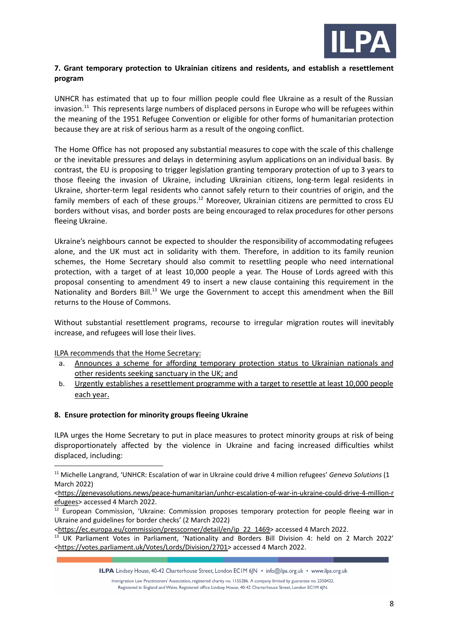

## **7. Grant temporary protection to Ukrainian citizens and residents, and establish a resettlement program**

UNHCR has estimated that up to four million people could flee Ukraine as a result of the Russian invasion.<sup>11</sup> This represents large numbers of displaced persons in Europe who will be refugees within the meaning of the 1951 Refugee Convention or eligible for other forms of humanitarian protection because they are at risk of serious harm as a result of the ongoing conflict.

The Home Office has not proposed any substantial measures to cope with the scale of this challenge or the inevitable pressures and delays in determining asylum applications on an individual basis. By contrast, the EU is proposing to trigger legislation granting temporary protection of up to 3 years to those fleeing the invasion of Ukraine, including Ukrainian citizens, long-term legal residents in Ukraine, shorter-term legal residents who cannot safely return to their countries of origin, and the family members of each of these groups.<sup>12</sup> Moreover, Ukrainian citizens are permitted to cross EU borders without visas, and border posts are being encouraged to relax procedures for other persons fleeing Ukraine.

Ukraine's neighbours cannot be expected to shoulder the responsibility of accommodating refugees alone, and the UK must act in solidarity with them. Therefore, in addition to its family reunion schemes, the Home Secretary should also commit to resettling people who need international protection, with a target of at least 10,000 people a year. The House of Lords agreed with this proposal consenting to amendment 49 to insert a new clause containing this requirement in the Nationality and Borders Bill.<sup>13</sup> We urge the Government to accept this amendment when the Bill returns to the House of Commons.

Without substantial resettlement programs, recourse to irregular migration routes will inevitably increase, and refugees will lose their lives.

ILPA recommends that the Home Secretary:

- a. Announces a scheme for affording temporary protection status to Ukrainian nationals and other residents seeking sanctuary in the UK; and
- b. Urgently establishes a resettlement programme with a target to resettle at least 10,000 people each year.

#### **8. Ensure protection for minority groups fleeing Ukraine**

ILPA urges the Home Secretary to put in place measures to protect minority groups at risk of being disproportionately affected by the violence in Ukraine and facing increased difficulties whilst displaced, including:

ILPA Lindsey House, 40-42 Charterhouse Street, London ECIM 6JN · info@ilpa.org.uk · www.ilpa.org.uk

<sup>11</sup> Michelle Langrand, 'UNHCR: Escalation of war in Ukraine could drive 4 million refugees' *Geneva Solutions* (1 March 2022)

<sup>&</sup>lt;[https://genevasolutions.news/peace-humanitarian/unhcr-escalation-of-war-in-ukraine-could-drive-4-million-r](https://genevasolutions.news/peace-humanitarian/unhcr-escalation-of-war-in-ukraine-could-drive-4-million-refugees) [efugees>](https://genevasolutions.news/peace-humanitarian/unhcr-escalation-of-war-in-ukraine-could-drive-4-million-refugees) accessed 4 March 2022.

 $\frac{12}{12}$  European Commission, 'Ukraine: Commission proposes temporary protection for people fleeing war in Ukraine and guidelines for border checks' (2 March 2022)

<sup>&</sup>lt;[https://ec.europa.eu/commission/presscorner/detail/en/ip\\_22\\_1469>](https://ec.europa.eu/commission/presscorner/detail/en/ip_22_1469) accessed 4 March 2022.

<sup>&</sup>lt;sup>13</sup> UK Parliament Votes in Parliament, 'Nationality and Borders Bill Division 4: held on 2 March 2022' <[https://votes.parliament.uk/Votes/Lords/Division/2701>](https://votes.parliament.uk/Votes/Lords/Division/2701) accessed 4 March 2022.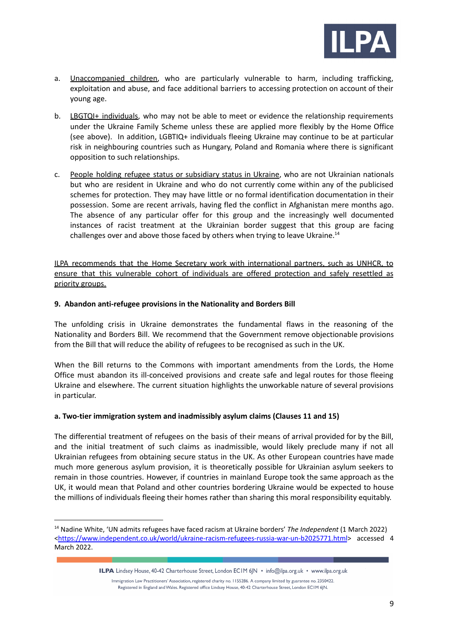

- a. Unaccompanied children, who are particularly vulnerable to harm, including trafficking, exploitation and abuse, and face additional barriers to accessing protection on account of their young age.
- b. LBGTQI+ individuals, who may not be able to meet or evidence the relationship requirements under the Ukraine Family Scheme unless these are applied more flexibly by the Home Office (see above). In addition, LGBTIQ+ individuals fleeing Ukraine may continue to be at particular risk in neighbouring countries such as Hungary, Poland and Romania where there is significant opposition to such relationships.
- c. People holding refugee status or subsidiary status in Ukraine, who are not Ukrainian nationals but who are resident in Ukraine and who do not currently come within any of the publicised schemes for protection. They may have little or no formal identification documentation in their possession. Some are recent arrivals, having fled the conflict in Afghanistan mere months ago. The absence of any particular offer for this group and the increasingly well documented instances of racist treatment at the Ukrainian border suggest that this group are facing challenges over and above those faced by others when trying to leave Ukraine.<sup>14</sup>

ILPA recommends that the Home Secretary work with international partners, such as UNHCR, to ensure that this vulnerable cohort of individuals are offered protection and safely resettled as priority groups.

## **9. Abandon anti-refugee provisions in the Nationality and Borders Bill**

The unfolding crisis in Ukraine demonstrates the fundamental flaws in the reasoning of the Nationality and Borders Bill. We recommend that the Government remove objectionable provisions from the Bill that will reduce the ability of refugees to be recognised as such in the UK.

When the Bill returns to the Commons with important amendments from the Lords, the Home Office must abandon its ill-conceived provisions and create safe and legal routes for those fleeing Ukraine and elsewhere. The current situation highlights the unworkable nature of several provisions in particular.

# **a. Two-tier immigration system and inadmissibly asylum claims (Clauses 11 and 15)**

The differential treatment of refugees on the basis of their means of arrival provided for by the Bill, and the initial treatment of such claims as inadmissible, would likely preclude many if not all Ukrainian refugees from obtaining secure status in the UK. As other European countries have made much more generous asylum provision, it is theoretically possible for Ukrainian asylum seekers to remain in those countries. However, if countries in mainland Europe took the same approach as the UK, it would mean that Poland and other countries bordering Ukraine would be expected to house the millions of individuals fleeing their homes rather than sharing this moral responsibility equitably.

<sup>14</sup> Nadine White, 'UN admits refugees have faced racism at Ukraine borders' *The Independent* (1 March 2022) <<https://www.independent.co.uk/world/ukraine-racism-refugees-russia-war-un-b2025771.html>> accessed 4 March 2022.

ILPA Lindsey House, 40-42 Charterhouse Street, London ECIM 6JN · info@ilpa.org.uk · www.ilpa.org.uk

Immigration Law Practitioners' Association, registered charity no. 1155286. A company limited by guarantee no. 2350422. Registered in England and Wales. Registered office Lindsey House, 40-42 Charterhouse Street, London EC1M 6JN.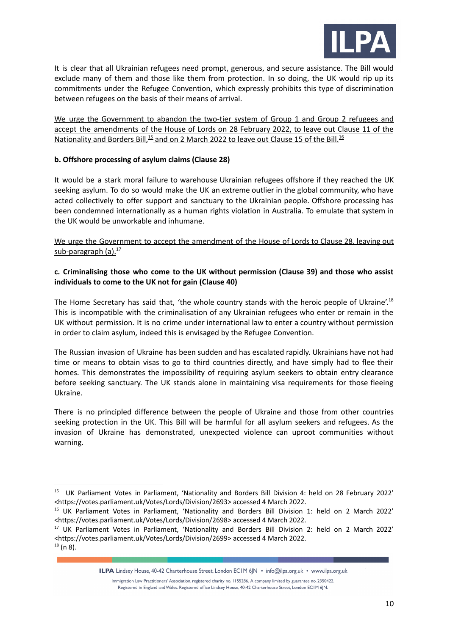

It is clear that all Ukrainian refugees need prompt, generous, and secure assistance. The Bill would exclude many of them and those like them from protection. In so doing, the UK would rip up its commitments under the Refugee Convention, which expressly prohibits this type of discrimination between refugees on the basis of their means of arrival.

We urge the Government to abandon the two-tier system of Group 1 and Group 2 refugees and accept the amendments of the House of Lords on 28 February 2022, to leave out Clause 11 of the Nationality and Borders Bill,<sup>15</sup> and on 2 March 2022 to leave out Clause 15 of the Bill.<sup>16</sup>

### **b. Offshore processing of asylum claims (Clause 28)**

It would be a stark moral failure to warehouse Ukrainian refugees offshore if they reached the UK seeking asylum. To do so would make the UK an extreme outlier in the global community, who have acted collectively to offer support and sanctuary to the Ukrainian people. Offshore processing has been condemned internationally as a human rights violation in Australia. To emulate that system in the UK would be unworkable and inhumane.

# We urge the Government to accept the amendment of the House of Lords to Clause 28, leaving out sub-paragraph (a).<sup>17</sup>

## **c. Criminalising those who come to the UK without permission (Clause 39) and those who assist individuals to come to the UK not for gain (Clause 40)**

The Home Secretary has said that, 'the whole country stands with the heroic people of Ukraine'.<sup>18</sup> This is incompatible with the criminalisation of any Ukrainian refugees who enter or remain in the UK without permission. It is no crime under international law to enter a country without permission in order to claim asylum, indeed this is envisaged by the Refugee Convention.

The Russian invasion of Ukraine has been sudden and has escalated rapidly. Ukrainians have not had time or means to obtain visas to go to third countries directly, and have simply had to flee their homes. This demonstrates the impossibility of requiring asylum seekers to obtain entry clearance before seeking sanctuary. The UK stands alone in maintaining visa requirements for those fleeing Ukraine.

There is no principled difference between the people of Ukraine and those from other countries seeking protection in the UK. This Bill will be harmful for all asylum seekers and refugees. As the invasion of Ukraine has demonstrated, unexpected violence can uproot communities without warning.

ILPA Lindsey House, 40-42 Charterhouse Street, London ECIM 6JN · info@ilpa.org.uk · www.ilpa.org.uk

<sup>&</sup>lt;sup>15</sup> UK Parliament Votes in Parliament, 'Nationality and Borders Bill Division 4: held on 28 February 2022' <https://votes.parliament.uk/Votes/Lords/Division/2693> accessed 4 March 2022.

<sup>&</sup>lt;sup>16</sup> UK Parliament Votes in Parliament, 'Nationality and Borders Bill Division 1: held on 2 March 2022' <[https://votes.parliament.uk/Votes/Lords/Division/2698>](https://votes.parliament.uk/Votes/Lords/Division/2698) accessed 4 March 2022.

 $18$  (n 8). <sup>17</sup> UK Parliament Votes in Parliament, 'Nationality and Borders Bill Division 2: held on 2 March 2022' <[https://votes.parliament.uk/Votes/Lords/Division/2699>](https://votes.parliament.uk/Votes/Lords/Division/2699) accessed 4 March 2022.

Immigration Law Practitioners' Association, registered charity no. 1155286. A company limited by guarantee no. 2350422. Registered in England and Wales. Registered office Lindsey House, 40-42 Charterhouse Street, London EC1M 6JN.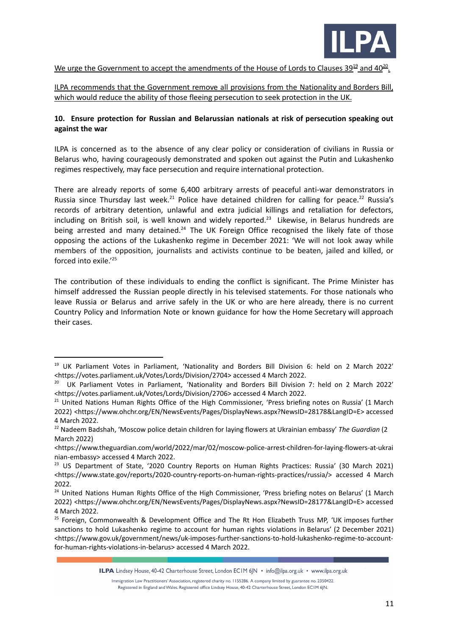

We urge the Government to accept the amendments of the House of Lords to Clauses 39<sup>19</sup> and 40<sup>20</sup>.

ILPA recommends that the Government remove all provisions from the Nationality and Borders Bill, which would reduce the ability of those fleeing persecution to seek protection in the UK.

# **10. Ensure protection for Russian and Belarussian nationals at risk of persecution speaking out against the war**

ILPA is concerned as to the absence of any clear policy or consideration of civilians in Russia or Belarus who, having courageously demonstrated and spoken out against the Putin and Lukashenko regimes respectively, may face persecution and require international protection.

There are already reports of some 6,400 arbitrary arrests of peaceful anti-war demonstrators in Russia since Thursday last week.<sup>21</sup> Police have detained children for calling for peace.<sup>22</sup> Russia's records of arbitrary detention, unlawful and extra judicial killings and retaliation for defectors, including on British soil, is well known and widely reported. $^{23}$  Likewise, in Belarus hundreds are being arrested and many detained. $24$  The UK Foreign Office recognised the likely fate of those opposing the actions of the Lukashenko regime in December 2021: 'We will not look away while members of the opposition, journalists and activists continue to be beaten, jailed and killed, or forced into exile.' 25

The contribution of these individuals to ending the conflict is significant. The Prime Minister has himself addressed the Russian people directly in his televised statements. For those nationals who leave Russia or Belarus and arrive safely in the UK or who are here already, there is no current Country Policy and Information Note or known guidance for how the Home Secretary will approach their cases.

<sup>19</sup> UK Parliament Votes in Parliament, 'Nationality and Borders Bill Division 6: held on 2 March 2022' <[https://votes.parliament.uk/Votes/Lords/Division/2704>](https://votes.parliament.uk/Votes/Lords/Division/2704) accessed 4 March 2022.

<sup>&</sup>lt;sup>20</sup> UK Parliament Votes in Parliament, 'Nationality and Borders Bill Division 7: held on 2 March 2022' <https://votes.parliament.uk/Votes/Lords/Division/2706> accessed 4 March 2022.

<sup>&</sup>lt;sup>21</sup> United Nations Human Rights Office of the High Commissioner, 'Press briefing notes on Russia' (1 March 2022) [<https://www.ohchr.org/EN/NewsEvents/Pages/DisplayNews.aspx?NewsID=28178&LangID=E>](https://www.ohchr.org/EN/NewsEvents/Pages/DisplayNews.aspx?NewsID=28178&LangID=E) accessed 4 [March](https://www.ohchr.org/EN/NewsEvents/Pages/DisplayNews.aspx?NewsID=28178&LangID=E) 2022.

<sup>22</sup> Nadeem Badshah, 'Moscow police detain children for laying flowers at Ukrainian embassy' *The Guardian* (2 March 2022)

<sup>&</sup>lt;[https://www.theguardian.com/world/2022/mar/02/moscow-police-arrest-children-for-laying-flowers-at-ukrai](https://www.theguardian.com/world/2022/mar/02/moscow-police-arrest-children-for-laying-flowers-at-ukrainian-embassy) [nian-embassy>](https://www.theguardian.com/world/2022/mar/02/moscow-police-arrest-children-for-laying-flowers-at-ukrainian-embassy) accessed 4 March 2022.

<sup>&</sup>lt;sup>23</sup> US Department of State, '2020 Country Reports on Human Rights Practices: Russia' (30 March 2021) <[https://www.state.gov/reports/2020-country-reports-on-human-rights-practices/russia/>](https://www.state.gov/reports/2020-country-reports-on-human-rights-practices/russia/) accessed 4 March 2022.

<sup>&</sup>lt;sup>24</sup> United Nations Human Rights Office of the High Commissioner, 'Press briefing notes on Belarus' (1 March 2022) [<https://www.ohchr.org/EN/NewsEvents/Pages/DisplayNews.aspx?NewsID=28177&LangID=E>](https://www.ohchr.org/EN/NewsEvents/Pages/DisplayNews.aspx?NewsID=28177&LangID=E) accessed 4 [March](https://www.ohchr.org/EN/NewsEvents/Pages/DisplayNews.aspx?NewsID=28177&LangID=E) 2022.

<sup>&</sup>lt;sup>25</sup> Foreign, Commonwealth & Development Office and The Rt Hon Elizabeth Truss MP, 'UK imposes further sanctions to hold Lukashenko regime to account for human rights violations in Belarus' (2 December 2021) <[https://www.gov.uk/government/news/uk-imposes-further-sanctions-to-hold-lukashenko-regime-to-account](https://www.gov.uk/government/news/uk-imposes-further-sanctions-to-hold-lukashenko-regime-to-account-for-human-rights-violations-in-belarus)[for-human-rights-violations-in-belarus>](https://www.gov.uk/government/news/uk-imposes-further-sanctions-to-hold-lukashenko-regime-to-account-for-human-rights-violations-in-belarus) accessed 4 March 2022.

ILPA Lindsey House, 40-42 Charterhouse Street, London ECIM 6JN • info@ilpa.org.uk • www.ilpa.org.uk

Immigration Law Practitioners' Association, registered charity no. 1155286. A company limited by guarantee no. 2350422. Registered in England and Wales. Registered office Lindsey House, 40-42 Charterhouse Street, London EC1M 6JN.